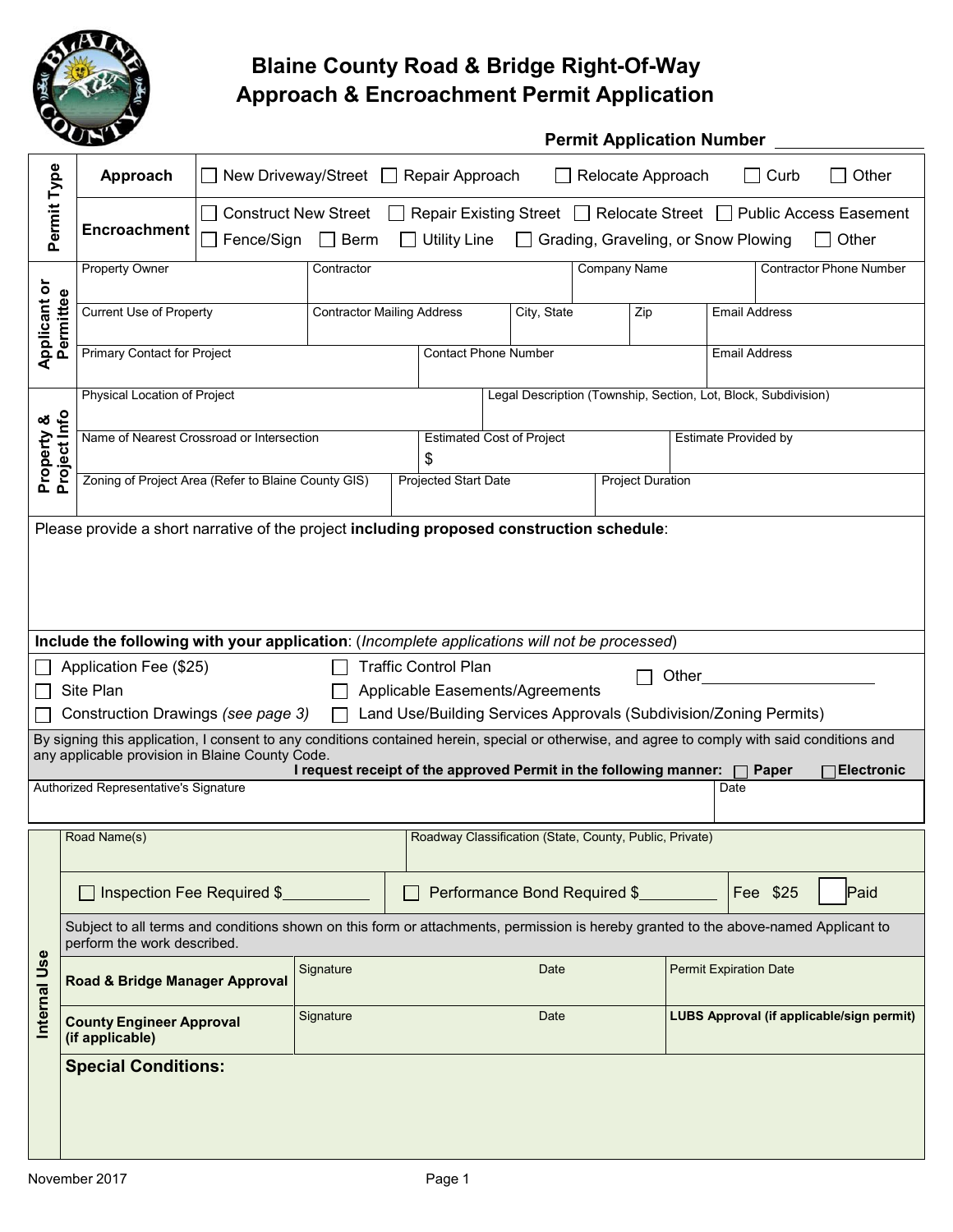

# **Blaine County Road & Bridge Right-Of-Way Approach & Encroachment Permit Application**

|                                  | S                                                                                                                                                                                                | <b>Permit Application Number</b>                                                                                                                                                              |                                                                          |                                                                |                              |                                 |                               |                             |                                                                   |                                |
|----------------------------------|--------------------------------------------------------------------------------------------------------------------------------------------------------------------------------------------------|-----------------------------------------------------------------------------------------------------------------------------------------------------------------------------------------------|--------------------------------------------------------------------------|----------------------------------------------------------------|------------------------------|---------------------------------|-------------------------------|-----------------------------|-------------------------------------------------------------------|--------------------------------|
|                                  | Approach                                                                                                                                                                                         | New Driveway/Street<br>Repair Approach<br>Relocate Approach<br>Curb<br>Other<br>$\Box$                                                                                                        |                                                                          |                                                                |                              |                                 |                               |                             |                                                                   |                                |
| Permit Type                      | Encroachment                                                                                                                                                                                     | <b>Construct New Street</b><br>□ Repair Existing Street □ Relocate Street □ Public Access Easement<br>Fence/Sign<br>$\Box$ Berm<br><b>Utility Line</b><br>Grading, Graveling, or Snow Plowing |                                                                          |                                                                |                              |                                 |                               |                             | Other                                                             |                                |
|                                  | <b>Property Owner</b>                                                                                                                                                                            |                                                                                                                                                                                               | Contractor                                                               |                                                                |                              |                                 | <b>Company Name</b>           |                             |                                                                   | <b>Contractor Phone Number</b> |
| <b>Applicant or</b><br>Permittee |                                                                                                                                                                                                  |                                                                                                                                                                                               |                                                                          |                                                                |                              |                                 |                               |                             |                                                                   |                                |
|                                  | <b>Current Use of Property</b>                                                                                                                                                                   |                                                                                                                                                                                               | <b>Contractor Mailing Address</b>                                        |                                                                |                              | City, State<br>Zip              |                               |                             | <b>Email Address</b>                                              |                                |
|                                  | <b>Primary Contact for Project</b>                                                                                                                                                               |                                                                                                                                                                                               |                                                                          | <b>Contact Phone Number</b><br><b>Email Address</b>            |                              |                                 |                               |                             |                                                                   |                                |
|                                  | Physical Location of Project                                                                                                                                                                     |                                                                                                                                                                                               |                                                                          | Legal Description (Township, Section, Lot, Block, Subdivision) |                              |                                 |                               |                             |                                                                   |                                |
| Project Info<br>Property &       | Name of Nearest Crossroad or Intersection                                                                                                                                                        |                                                                                                                                                                                               |                                                                          | <b>Estimated Cost of Project</b><br>\$                         |                              |                                 |                               | <b>Estimate Provided by</b> |                                                                   |                                |
|                                  | Zoning of Project Area (Refer to Blaine County GIS)                                                                                                                                              |                                                                                                                                                                                               |                                                                          | Projected Start Date<br><b>Project Duration</b>                |                              |                                 |                               |                             |                                                                   |                                |
|                                  | Please provide a short narrative of the project including proposed construction schedule:                                                                                                        |                                                                                                                                                                                               |                                                                          |                                                                |                              |                                 |                               |                             |                                                                   |                                |
|                                  |                                                                                                                                                                                                  |                                                                                                                                                                                               |                                                                          |                                                                |                              |                                 |                               |                             |                                                                   |                                |
|                                  |                                                                                                                                                                                                  |                                                                                                                                                                                               |                                                                          |                                                                |                              |                                 |                               |                             |                                                                   |                                |
|                                  | Include the following with your application: (Incomplete applications will not be processed)                                                                                                     |                                                                                                                                                                                               |                                                                          |                                                                |                              |                                 |                               |                             |                                                                   |                                |
|                                  | Application Fee (\$25)                                                                                                                                                                           |                                                                                                                                                                                               |                                                                          | <b>Traffic Control Plan</b>                                    |                              |                                 |                               |                             |                                                                   |                                |
|                                  | Site Plan                                                                                                                                                                                        |                                                                                                                                                                                               |                                                                          |                                                                |                              | Applicable Easements/Agreements |                               | Other                       |                                                                   |                                |
|                                  | Construction Drawings (see page 3)                                                                                                                                                               |                                                                                                                                                                                               |                                                                          |                                                                |                              |                                 |                               |                             | Land Use/Building Services Approvals (Subdivision/Zoning Permits) |                                |
|                                  | By signing this application, I consent to any conditions contained herein, special or otherwise, and agree to comply with said conditions and<br>any applicable provision in Blaine County Code. |                                                                                                                                                                                               |                                                                          |                                                                |                              |                                 |                               |                             |                                                                   |                                |
|                                  | Authorized Representative's Signature                                                                                                                                                            |                                                                                                                                                                                               | I request receipt of the approved Permit in the following manner: $\Box$ |                                                                |                              |                                 |                               |                             | Paper<br>Date                                                     | <b>Electronic</b>              |
|                                  |                                                                                                                                                                                                  |                                                                                                                                                                                               |                                                                          |                                                                |                              |                                 |                               |                             |                                                                   |                                |
|                                  | Road Name(s)                                                                                                                                                                                     | Roadway Classification (State, County, Public, Private)                                                                                                                                       |                                                                          |                                                                |                              |                                 |                               |                             |                                                                   |                                |
|                                  |                                                                                                                                                                                                  | Inspection Fee Required \$                                                                                                                                                                    |                                                                          |                                                                | Performance Bond Required \$ |                                 |                               | Fee \$25                    | Paid                                                              |                                |
| $\mathbf \omega$                 | Subject to all terms and conditions shown on this form or attachments, permission is hereby granted to the above-named Applicant to<br>perform the work described.                               |                                                                                                                                                                                               |                                                                          |                                                                |                              |                                 |                               |                             |                                                                   |                                |
| Internal Us                      | Road & Bridge Manager Approval                                                                                                                                                                   |                                                                                                                                                                                               | Signature                                                                | Date                                                           |                              |                                 | <b>Permit Expiration Date</b> |                             |                                                                   |                                |
|                                  | <b>County Engineer Approval</b><br>(if applicable)                                                                                                                                               |                                                                                                                                                                                               | Signature                                                                |                                                                |                              | Date                            |                               |                             | LUBS Approval (if applicable/sign permit)                         |                                |
|                                  | <b>Special Conditions:</b>                                                                                                                                                                       |                                                                                                                                                                                               |                                                                          |                                                                |                              |                                 |                               |                             |                                                                   |                                |
|                                  |                                                                                                                                                                                                  |                                                                                                                                                                                               |                                                                          |                                                                |                              |                                 |                               |                             |                                                                   |                                |
|                                  |                                                                                                                                                                                                  |                                                                                                                                                                                               |                                                                          |                                                                |                              |                                 |                               |                             |                                                                   |                                |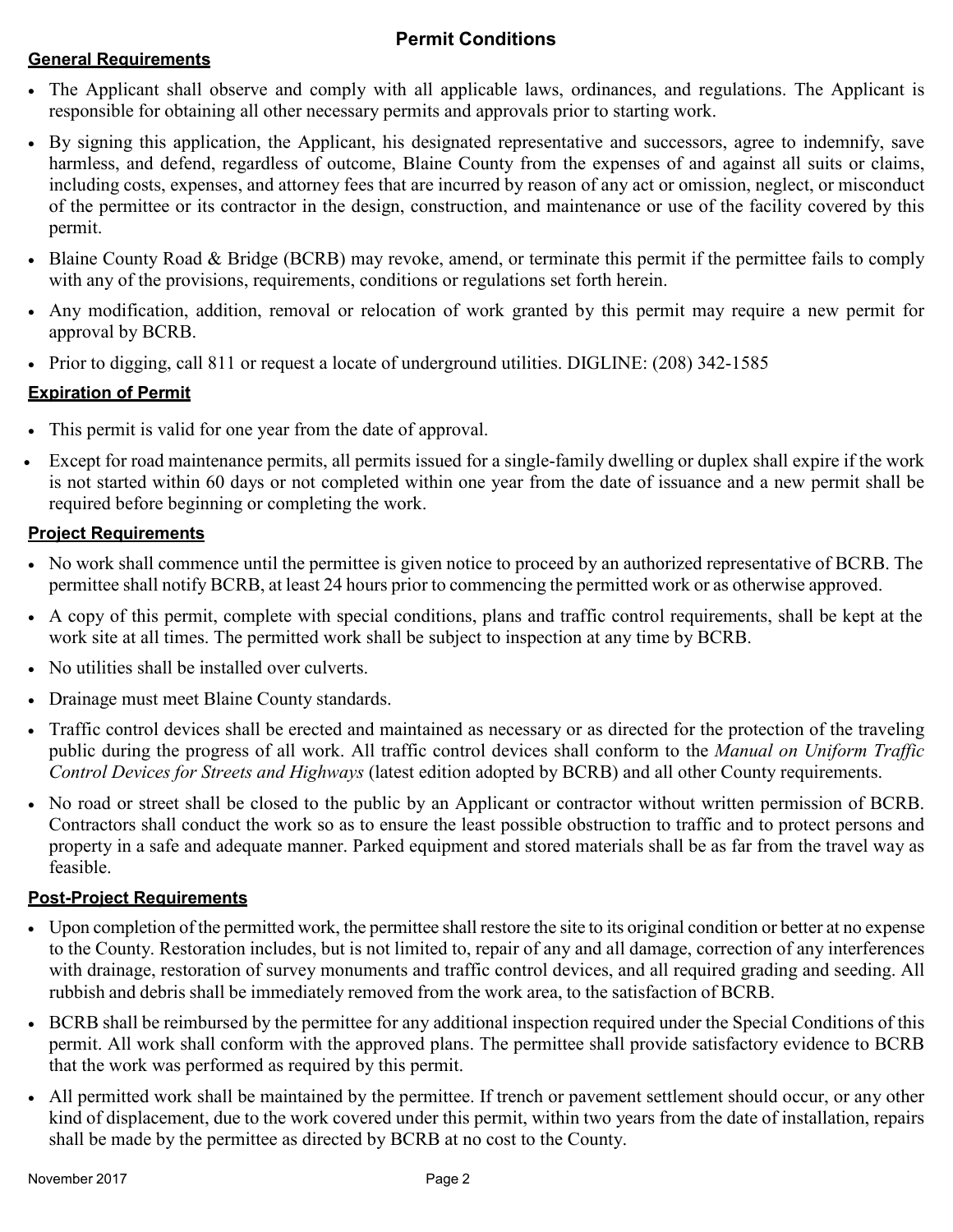### **Permit Conditions**

#### **General Requirements**

- The Applicant shall observe and comply with all applicable laws, ordinances, and regulations. The Applicant is responsible for obtaining all other necessary permits and approvals prior to starting work.
- By signing this application, the Applicant, his designated representative and successors, agree to indemnify, save harmless, and defend, regardless of outcome, Blaine County from the expenses of and against all suits or claims, including costs, expenses, and attorney fees that are incurred by reason of any act or omission, neglect, or misconduct of the permittee or its contractor in the design, construction, and maintenance or use of the facility covered by this permit.
- Blaine County Road & Bridge (BCRB) may revoke, amend, or terminate this permit if the permittee fails to comply with any of the provisions, requirements, conditions or regulations set forth herein.
- Any modification, addition, removal or relocation of work granted by this permit may require a new permit for approval by BCRB.
- Prior to digging, call 811 or request a locate of underground utilities. DIGLINE: (208) 342-1585

#### **Expiration of Permit**

- This permit is valid for one year from the date of approval.
- Except for road maintenance permits, all permits issued for a single-family dwelling or duplex shall expire if the work is not started within 60 days or not completed within one year from the date of issuance and a new permit shall be required before beginning or completing the work.

#### **Project Requirements**

- No work shall commence until the permittee is given notice to proceed by an authorized representative of BCRB. The permittee shall notify BCRB, at least 24 hours prior to commencing the permitted work or as otherwise approved.
- A copy of this permit, complete with special conditions, plans and traffic control requirements, shall be kept at the work site at all times. The permitted work shall be subject to inspection at any time by BCRB.
- No utilities shall be installed over culverts.
- Drainage must meet Blaine County standards.
- Traffic control devices shall be erected and maintained as necessary or as directed for the protection of the traveling public during the progress of all work. All traffic control devices shall conform to the *Manual on Uniform Traffic Control Devices for Streets and Highways* (latest edition adopted by BCRB) and all other County requirements.
- No road or street shall be closed to the public by an Applicant or contractor without written permission of BCRB. Contractors shall conduct the work so as to ensure the least possible obstruction to traffic and to protect persons and property in a safe and adequate manner. Parked equipment and stored materials shall be as far from the travel way as feasible.

#### **Post-Project Requirements**

- Upon completion of the permitted work, the permittee shall restore the site to its original condition or better at no expense to the County. Restoration includes, but is not limited to, repair of any and all damage, correction of any interferences with drainage, restoration of survey monuments and traffic control devices, and all required grading and seeding. All rubbish and debris shall be immediately removed from the work area, to the satisfaction of BCRB.
- BCRB shall be reimbursed by the permittee for any additional inspection required under the Special Conditions of this permit. All work shall conform with the approved plans. The permittee shall provide satisfactory evidence to BCRB that the work was performed as required by this permit.
- All permitted work shall be maintained by the permittee. If trench or pavement settlement should occur, or any other kind of displacement, due to the work covered under this permit, within two years from the date of installation, repairs shall be made by the permittee as directed by BCRB at no cost to the County.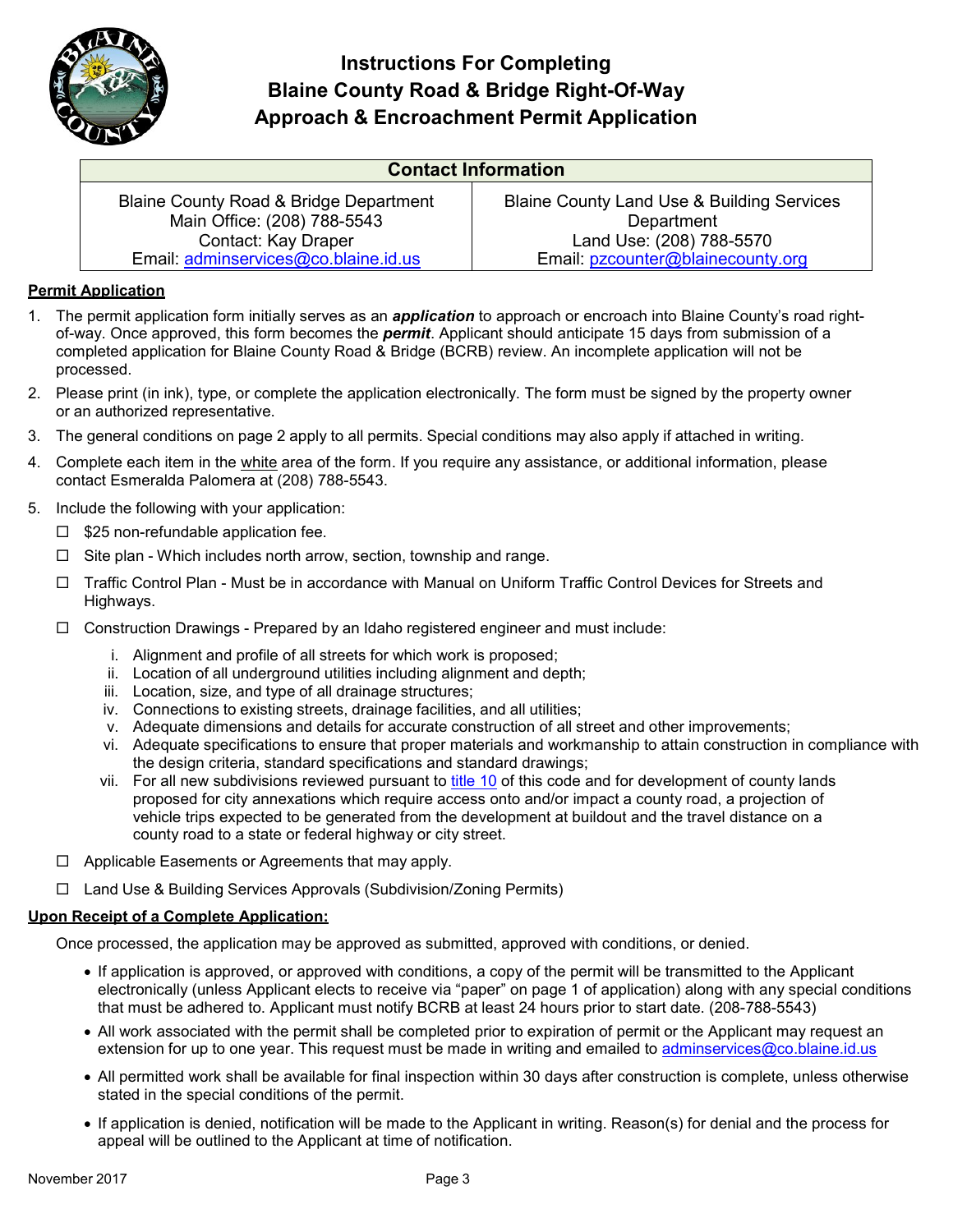

## **Instructions For Completing Blaine County Road & Bridge Right-Of-Way Approach & Encroachment Permit Application**

| <b>Contact Information</b>                        |                                            |  |  |  |  |  |  |
|---------------------------------------------------|--------------------------------------------|--|--|--|--|--|--|
| <b>Blaine County Road &amp; Bridge Department</b> | Blaine County Land Use & Building Services |  |  |  |  |  |  |
| Main Office: (208) 788-5543                       | Department                                 |  |  |  |  |  |  |
| Contact: Kay Draper                               | Land Use: (208) 788-5570                   |  |  |  |  |  |  |
| Email: adminservices@co.blaine.id.us              | Email: pzcounter@blainecounty.org          |  |  |  |  |  |  |

#### **Permit Application**

- 1. The permit application form initially serves as an *application* to approach or encroach into Blaine County's road rightof-way. Once approved, this form becomes the *permit*. Applicant should anticipate 15 days from submission of a completed application for Blaine County Road & Bridge (BCRB) review. An incomplete application will not be processed.
- 2. Please print (in ink), type, or complete the application electronically. The form must be signed by the property owner or an authorized representative.
- 3. The general conditions on page 2 apply to all permits. Special conditions may also apply if attached in writing.
- 4. Complete each item in the white area of the form. If you require any assistance, or additional information, please contact Esmeralda Palomera at (208) 788-5543.
- 5. Include the following with your application:
	- $\Box$  \$25 non-refundable application fee.
	- $\Box$  Site plan Which includes north arrow, section, township and range.
	- □ Traffic Control Plan Must be in accordance with Manual on Uniform Traffic Control Devices for Streets and Highways.
	- $\Box$  Construction Drawings Prepared by an Idaho registered engineer and must include:
		- i. Alignment and profile of all streets for which work is proposed;
		- ii. Location of all underground utilities including alignment and depth;
		- iii. Location, size, and type of all drainage structures;
		- iv. Connections to existing streets, drainage facilities, and all utilities;
		- v. Adequate dimensions and details for accurate construction of all street and other improvements;
		- vi. Adequate specifications to ensure that proper materials and workmanship to attain construction in compliance with the design criteria, standard specifications and standard drawings;
		- vii. For all new subdivisions reviewed pursuant to title 10 of this code and for development of county lands proposed for city annexations which require access onto and/or impact a county road, a projection of vehicle trips expected to be generated from the development at buildout and the travel distance on a county road to a state or federal highway or city street.
	- $\Box$  Applicable Easements or Agreements that may apply.
	- Land Use & Building Services Approvals (Subdivision/Zoning Permits)

#### **Upon Receipt of a Complete Application:**

Once processed, the application may be approved as submitted, approved with conditions, or denied.

- If application is approved, or approved with conditions, a copy of the permit will be transmitted to the Applicant electronically (unless Applicant elects to receive via "paper" on page 1 of application) along with any special conditions that must be adhered to. Applicant must notify BCRB at least 24 hours prior to start date. (208-788-5543)
- All work associated with the permit shall be completed prior to expiration of permit or the Applicant may request an extension for up to one year. This request must be made in writing and emailed to [adminservices@co.blaine.id.us](mailto:adminservices@co.blaine.id.us)
- All permitted work shall be available for final inspection within 30 days after construction is complete, unless otherwise stated in the special conditions of the permit.
- If application is denied, notification will be made to the Applicant in writing. Reason(s) for denial and the process for appeal will be outlined to the Applicant at time of notification.